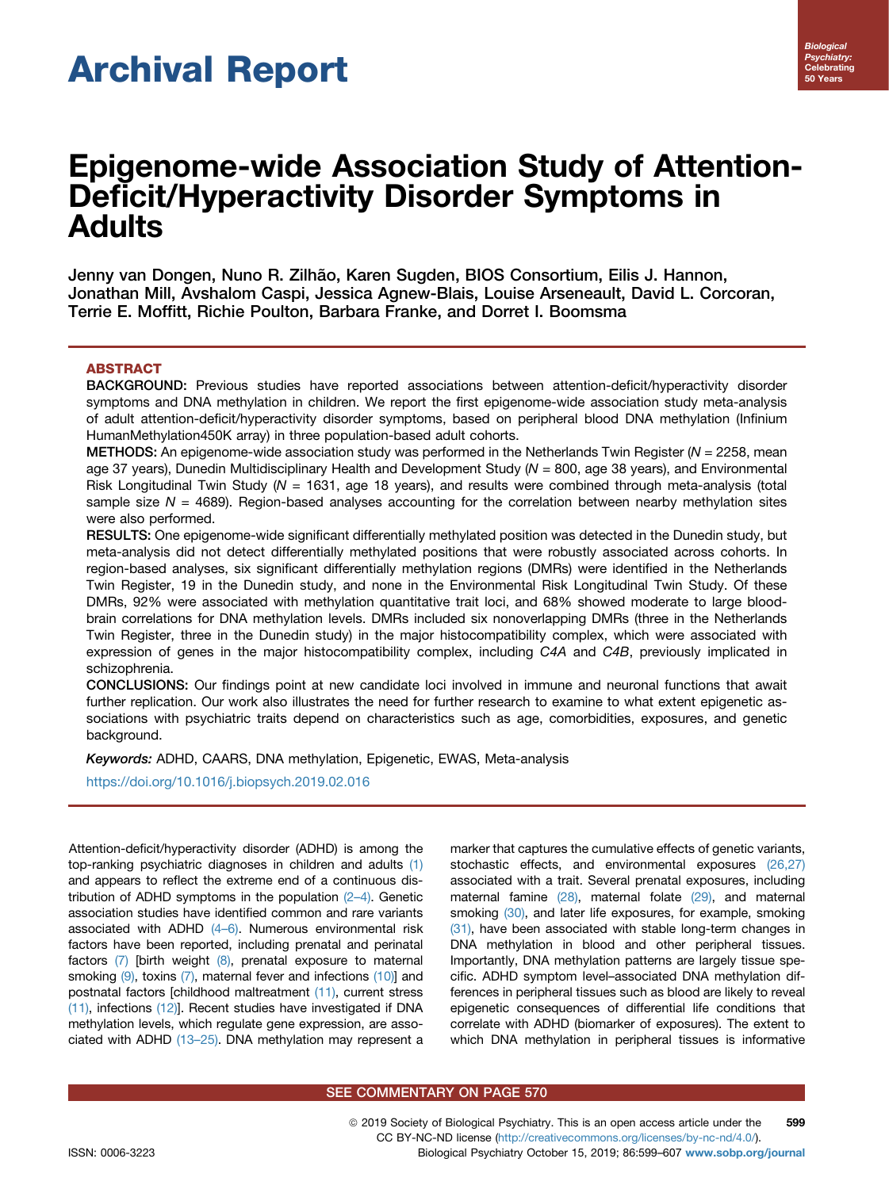# Archival Report

# Epigenome-wide Association Study of Attention-Deficit/Hyperactivity Disorder Symptoms in Adults

Jenny van Dongen, Nuno R. Zilhão, Karen Sugden, BIOS Consortium, Eilis J. Hannon, Jonathan Mill, Avshalom Caspi, Jessica Agnew-Blais, Louise Arseneault, David L. Corcoran, Terrie E. Moffitt, Richie Poulton, Barbara Franke, and Dorret I. Boomsma

# ABSTRACT

BACKGROUND: Previous studies have reported associations between attention-deficit/hyperactivity disorder symptoms and DNA methylation in children. We report the first epigenome-wide association study meta-analysis of adult attention-deficit/hyperactivity disorder symptoms, based on peripheral blood DNA methylation (Infinium HumanMethylation450K array) in three population-based adult cohorts.

METHODS: An epigenome-wide association study was performed in the Netherlands Twin Register ( $N = 2258$ , mean age 37 years), Dunedin Multidisciplinary Health and Development Study (N = 800, age 38 years), and Environmental Risk Longitudinal Twin Study (N = 1631, age 18 years), and results were combined through meta-analysis (total sample size  $N = 4689$ . Region-based analyses accounting for the correlation between nearby methylation sites were also performed.

RESULTS: One epigenome-wide significant differentially methylated position was detected in the Dunedin study, but meta-analysis did not detect differentially methylated positions that were robustly associated across cohorts. In region-based analyses, six significant differentially methylation regions (DMRs) were identified in the Netherlands Twin Register, 19 in the Dunedin study, and none in the Environmental Risk Longitudinal Twin Study. Of these DMRs, 92% were associated with methylation quantitative trait loci, and 68% showed moderate to large bloodbrain correlations for DNA methylation levels. DMRs included six nonoverlapping DMRs (three in the Netherlands Twin Register, three in the Dunedin study) in the major histocompatibility complex, which were associated with expression of genes in the major histocompatibility complex, including C4A and C4B, previously implicated in schizophrenia.

CONCLUSIONS: Our findings point at new candidate loci involved in immune and neuronal functions that await further replication. Our work also illustrates the need for further research to examine to what extent epigenetic associations with psychiatric traits depend on characteristics such as age, comorbidities, exposures, and genetic background.

Keywords: ADHD, CAARS, DNA methylation, Epigenetic, EWAS, Meta-analysis

<https://doi.org/10.1016/j.biopsych.2019.02.016>

Attention-deficit/hyperactivity disorder (ADHD) is among the top-ranking psychiatric diagnoses in children and adults [\(1\)](#page-7-0) and appears to reflect the extreme end of a continuous distribution of ADHD symptoms in the population (2–[4\)](#page-7-0). Genetic association studies have identified common and rare variants associated with ADHD (4–[6\).](#page-7-0) Numerous environmental risk factors have been reported, including prenatal and perinatal factors  $(7)$  [birth weight  $(8)$ , prenatal exposure to maternal smoking  $(9)$ , toxins  $(7)$ , maternal fever and infections  $(10)$ ] and postnatal factors [childhood maltreatment [\(11\),](#page-7-0) current stress [\(11\)](#page-7-0), infections [\(12\)\]](#page-7-0). Recent studies have investigated if DNA methylation levels, which regulate gene expression, are associated with ADHD [\(13](#page-7-0)–25). DNA methylation may represent a marker that captures the cumulative effects of genetic variants, stochastic effects, and environmental exposures [\(26,27\)](#page-8-0) associated with a trait. Several prenatal exposures, including maternal famine [\(28\)](#page-8-0), maternal folate [\(29\),](#page-8-0) and maternal smoking [\(30\)](#page-8-0), and later life exposures, for example, smoking [\(31\)](#page-8-0), have been associated with stable long-term changes in DNA methylation in blood and other peripheral tissues. Importantly, DNA methylation patterns are largely tissue specific. ADHD symptom level–associated DNA methylation differences in peripheral tissues such as blood are likely to reveal epigenetic consequences of differential life conditions that correlate with ADHD (biomarker of exposures). The extent to which DNA methylation in peripheral tissues is informative

#### SEE COMMENTARY ON PAGE 570

ª 2019 Society of Biological Psychiatry. This is an open access article under the CC BY-NC-ND license (<http://creativecommons.org/licenses/by-nc-nd/4.0/>). 599 ISSN: 0006-3223 Biological Psychiatry October 15, 2019; 86:599–607 [www.sobp.org/journal](http://www.sobp.org/journal)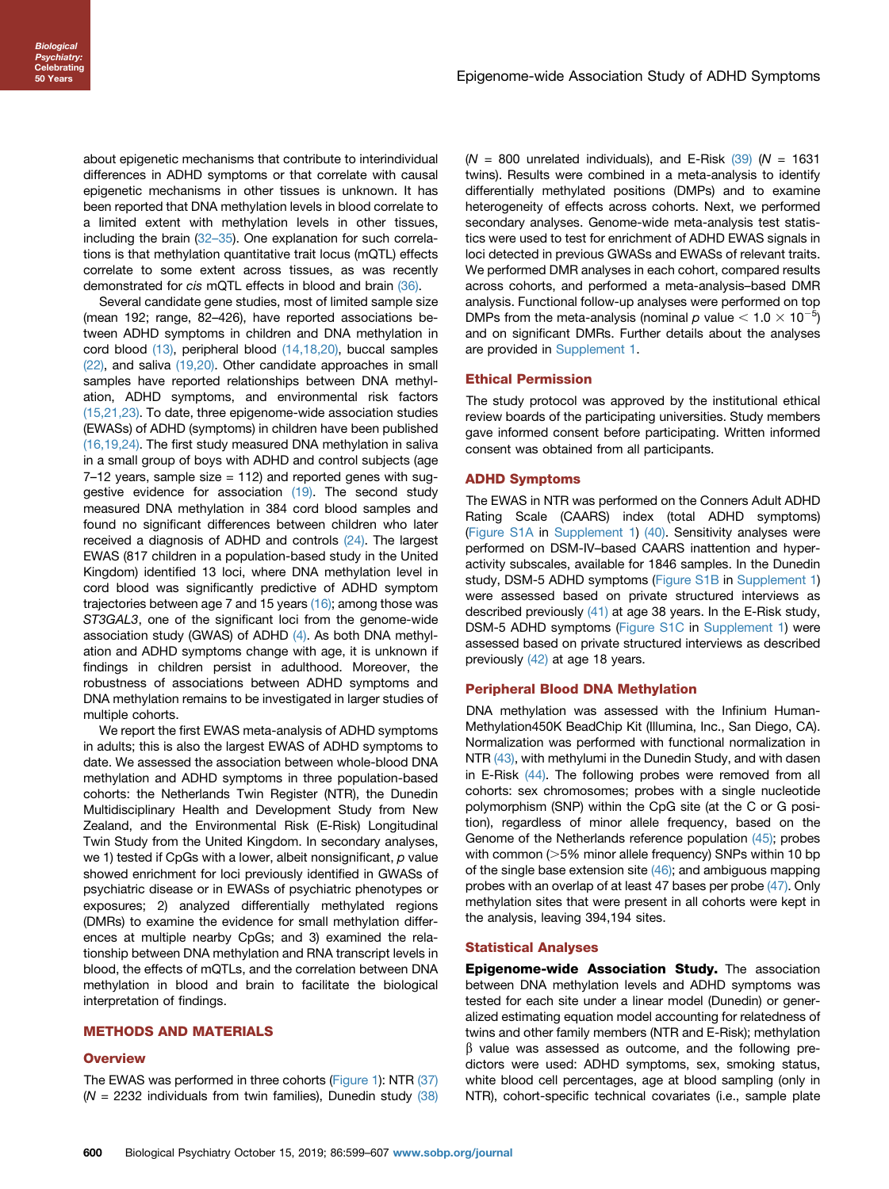about epigenetic mechanisms that contribute to interindividual differences in ADHD symptoms or that correlate with causal epigenetic mechanisms in other tissues is unknown. It has been reported that DNA methylation levels in blood correlate to a limited extent with methylation levels in other tissues, including the brain  $(32-35)$  $(32-35)$ . One explanation for such correlations is that methylation quantitative trait locus (mQTL) effects correlate to some extent across tissues, as was recently demonstrated for cis mQTL effects in blood and brain [\(36\)](#page-8-0).

Several candidate gene studies, most of limited sample size (mean 192; range, 82–426), have reported associations between ADHD symptoms in children and DNA methylation in cord blood [\(13\)](#page-7-0), peripheral blood [\(14,18,20\),](#page-7-0) buccal samples [\(22\)](#page-7-0), and saliva [\(19,20\)](#page-7-0). Other candidate approaches in small samples have reported relationships between DNA methylation, ADHD symptoms, and environmental risk factors [\(15,21,23\).](#page-7-0) To date, three epigenome-wide association studies (EWASs) of ADHD (symptoms) in children have been published [\(16,19,24\).](#page-7-0) The first study measured DNA methylation in saliva in a small group of boys with ADHD and control subjects (age  $7-12$  years, sample size  $= 112$ ) and reported genes with suggestive evidence for association [\(19\).](#page-7-0) The second study measured DNA methylation in 384 cord blood samples and found no significant differences between children who later received a diagnosis of ADHD and controls [\(24\).](#page-7-0) The largest EWAS (817 children in a population-based study in the United Kingdom) identified 13 loci, where DNA methylation level in cord blood was significantly predictive of ADHD symptom trajectories between age 7 and 15 years [\(16\)](#page-7-0); among those was ST3GAL3, one of the significant loci from the genome-wide association study (GWAS) of ADHD [\(4\).](#page-7-0) As both DNA methylation and ADHD symptoms change with age, it is unknown if findings in children persist in adulthood. Moreover, the robustness of associations between ADHD symptoms and DNA methylation remains to be investigated in larger studies of multiple cohorts.

We report the first EWAS meta-analysis of ADHD symptoms in adults; this is also the largest EWAS of ADHD symptoms to date. We assessed the association between whole-blood DNA methylation and ADHD symptoms in three population-based cohorts: the Netherlands Twin Register (NTR), the Dunedin Multidisciplinary Health and Development Study from New Zealand, and the Environmental Risk (E-Risk) Longitudinal Twin Study from the United Kingdom. In secondary analyses, we 1) tested if CpGs with a lower, albeit nonsignificant,  $p$  value showed enrichment for loci previously identified in GWASs of psychiatric disease or in EWASs of psychiatric phenotypes or exposures; 2) analyzed differentially methylated regions (DMRs) to examine the evidence for small methylation differences at multiple nearby CpGs; and 3) examined the relationship between DNA methylation and RNA transcript levels in blood, the effects of mQTLs, and the correlation between DNA methylation in blood and brain to facilitate the biological interpretation of findings.

#### METHODS AND MATERIALS

#### **Overview**

The EWAS was performed in three cohorts ([Figure 1](#page-2-0)): NTR [\(37\)](#page-8-0) ( $N = 2232$  individuals from twin families), Dunedin study [\(38\)](#page-8-0)  $(N = 800$  unrelated individuals), and E-Risk  $(39)$  (N = 1631) twins). Results were combined in a meta-analysis to identify differentially methylated positions (DMPs) and to examine heterogeneity of effects across cohorts. Next, we performed secondary analyses. Genome-wide meta-analysis test statistics were used to test for enrichment of ADHD EWAS signals in loci detected in previous GWASs and EWASs of relevant traits. We performed DMR analyses in each cohort, compared results across cohorts, and performed a meta-analysis–based DMR analysis. Functional follow-up analyses were performed on top DMPs from the meta-analysis (nominal  $p$  value  $<$  1.0  $\times$  10<sup>-5</sup>) and on significant DMRs. Further details about the analyses are provided in [Supplement 1.](#page-8-0)

#### Ethical Permission

The study protocol was approved by the institutional ethical review boards of the participating universities. Study members gave informed consent before participating. Written informed consent was obtained from all participants.

#### ADHD Symptoms

The EWAS in NTR was performed on the Conners Adult ADHD Rating Scale (CAARS) index (total ADHD symptoms) [\(Figure S1A](#page-8-0) in [Supplement 1\)](#page-8-0) [\(40\).](#page-8-0) Sensitivity analyses were performed on DSM-IV–based CAARS inattention and hyperactivity subscales, available for 1846 samples. In the Dunedin study, DSM-5 ADHD symptoms [\(Figure S1B](#page-8-0) in [Supplement 1\)](#page-8-0) were assessed based on private structured interviews as described previously [\(41\)](#page-8-0) at age 38 years. In the E-Risk study, DSM-5 ADHD symptoms ([Figure S1C](#page-8-0) in [Supplement 1\)](#page-8-0) were assessed based on private structured interviews as described previously [\(42\)](#page-8-0) at age 18 years.

#### Peripheral Blood DNA Methylation

DNA methylation was assessed with the Infinium Human-Methylation450K BeadChip Kit (Illumina, Inc., San Diego, CA). Normalization was performed with functional normalization in NTR [\(43\),](#page-8-0) with methylumi in the Dunedin Study, and with dasen in E-Risk [\(44\)](#page-8-0). The following probes were removed from all cohorts: sex chromosomes; probes with a single nucleotide polymorphism (SNP) within the CpG site (at the C or G position), regardless of minor allele frequency, based on the Genome of the Netherlands reference population [\(45\);](#page-8-0) probes with common ( $>5\%$  minor allele frequency) SNPs within 10 bp of the single base extension site  $(46)$ ; and ambiguous mapping probes with an overlap of at least 47 bases per probe [\(47\).](#page-8-0) Only methylation sites that were present in all cohorts were kept in the analysis, leaving 394,194 sites.

#### Statistical Analyses

Epigenome-wide Association Study. The association between DNA methylation levels and ADHD symptoms was tested for each site under a linear model (Dunedin) or generalized estimating equation model accounting for relatedness of twins and other family members (NTR and E-Risk); methylation  $\beta$  value was assessed as outcome, and the following predictors were used: ADHD symptoms, sex, smoking status, white blood cell percentages, age at blood sampling (only in NTR), cohort-specific technical covariates (i.e., sample plate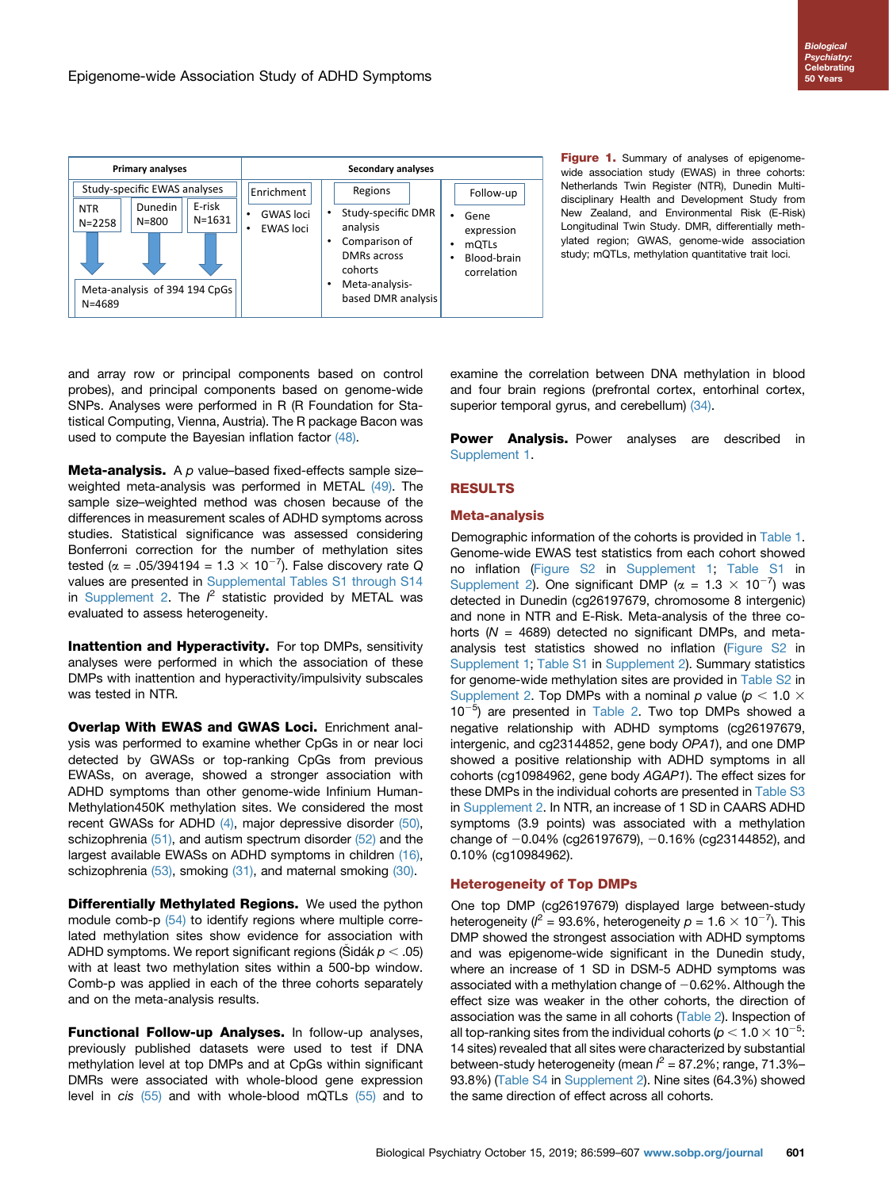<span id="page-2-0"></span>

Figure 1. Summary of analyses of epigenomewide association study (EWAS) in three cohorts: Netherlands Twin Register (NTR), Dunedin Multidisciplinary Health and Development Study from New Zealand, and Environmental Risk (E-Risk) Longitudinal Twin Study. DMR, differentially methylated region; GWAS, genome-wide association study; mQTLs, methylation quantitative trait loci.

and array row or principal components based on control probes), and principal components based on genome-wide SNPs. Analyses were performed in R (R Foundation for Statistical Computing, Vienna, Austria). The R package Bacon was used to compute the Bayesian inflation factor [\(48\)](#page-8-0).

**Meta-analysis.** A  $p$  value–based fixed-effects sample size– weighted meta-analysis was performed in METAL [\(49\).](#page-8-0) The sample size–weighted method was chosen because of the differences in measurement scales of ADHD symptoms across studies. Statistical significance was assessed considering Bonferroni correction for the number of methylation sites tested ( $\alpha$  = .05/394194 = 1.3  $\times$  10<sup>-7</sup>). False discovery rate Q values are presented in [Supplemental Tables S1 through S14](#page-8-0) in [Supplement 2.](#page-8-0) The  $l^2$  statistic provided by METAL was evaluated to assess heterogeneity.

Inattention and Hyperactivity. For top DMPs, sensitivity analyses were performed in which the association of these DMPs with inattention and hyperactivity/impulsivity subscales was tested in NTR.

Overlap With EWAS and GWAS Loci. Enrichment analysis was performed to examine whether CpGs in or near loci detected by GWASs or top-ranking CpGs from previous EWASs, on average, showed a stronger association with ADHD symptoms than other genome-wide Infinium Human-Methylation450K methylation sites. We considered the most recent GWASs for ADHD  $(4)$ , major depressive disorder  $(50)$ , schizophrenia  $(51)$ , and autism spectrum disorder  $(52)$  and the largest available EWASs on ADHD symptoms in children [\(16\)](#page-7-0), schizophrenia  $(53)$ , smoking  $(31)$ , and maternal smoking  $(30)$ .

**Differentially Methylated Regions.** We used the python module comb-p [\(54\)](#page-8-0) to identify regions where multiple correlated methylation sites show evidence for association with ADHD symptoms. We report significant regions (Šidák  $p < .05$ ) with at least two methylation sites within a 500-bp window. Comb-p was applied in each of the three cohorts separately and on the meta-analysis results.

Functional Follow-up Analyses. In follow-up analyses, previously published datasets were used to test if DNA methylation level at top DMPs and at CpGs within significant DMRs were associated with whole-blood gene expression level in cis [\(55\)](#page-8-0) and with whole-blood mQTLs [\(55\)](#page-8-0) and to examine the correlation between DNA methylation in blood and four brain regions (prefrontal cortex, entorhinal cortex, superior temporal gyrus, and cerebellum) [\(34\)](#page-8-0).

**Power Analysis.** Power analyses are described in [Supplement 1](#page-8-0).

# RESULTS

# Meta-analysis

Demographic information of the cohorts is provided in [Table 1.](#page-3-0) Genome-wide EWAS test statistics from each cohort showed no inflation [\(Figure S2](#page-8-0) in [Supplement 1](#page-8-0); [Table S1](#page-8-0) in [Supplement 2\)](#page-8-0). One significant DMP ( $\alpha = 1.3 \times 10^{-7}$ ) was detected in Dunedin (cg26197679, chromosome 8 intergenic) and none in NTR and E-Risk. Meta-analysis of the three cohorts ( $N = 4689$ ) detected no significant DMPs, and metaanalysis test statistics showed no inflation [\(Figure S2](#page-8-0) in [Supplement 1;](#page-8-0) [Table S1](#page-8-0) in [Supplement 2](#page-8-0)). Summary statistics for genome-wide methylation sites are provided in [Table S2](#page-8-0) in [Supplement 2](#page-8-0). Top DMPs with a nominal p value ( $p < 1.0 \times$  $10^{-5}$ ) are presented in [Table 2](#page-3-0). Two top DMPs showed a negative relationship with ADHD symptoms (cg26197679, intergenic, and cg23144852, gene body OPA1), and one DMP showed a positive relationship with ADHD symptoms in all cohorts (cg10984962, gene body AGAP1). The effect sizes for these DMPs in the individual cohorts are presented in [Table S3](#page-8-0) in [Supplement 2](#page-8-0). In NTR, an increase of 1 SD in CAARS ADHD symptoms (3.9 points) was associated with a methylation change of  $-0.04\%$  (cg26197679),  $-0.16\%$  (cg23144852), and 0.10% (cg10984962).

# Heterogeneity of Top DMPs

One top DMP (cg26197679) displayed large between-study heterogeneity ( $l^2 = 93.6\%$ , heterogeneity  $p = 1.6 \times 10^{-7}$ ). This DMP showed the strongest association with ADHD symptoms and was epigenome-wide significant in the Dunedin study, where an increase of 1 SD in DSM-5 ADHD symptoms was associated with a methylation change of  $-0.62\%$ . Although the effect size was weaker in the other cohorts, the direction of association was the same in all cohorts [\(Table 2\)](#page-3-0). Inspection of all top-ranking sites from the individual cohorts ( $\rho$   $<$  1.0  $\times$  10 $^{-5}$ : 14 sites) revealed that all sites were characterized by substantial between-study heterogeneity (mean  $l^2$  = 87.2%; range, 71.3%– 93.8%) ([Table S4](#page-8-0) in [Supplement 2\)](#page-8-0). Nine sites (64.3%) showed the same direction of effect across all cohorts.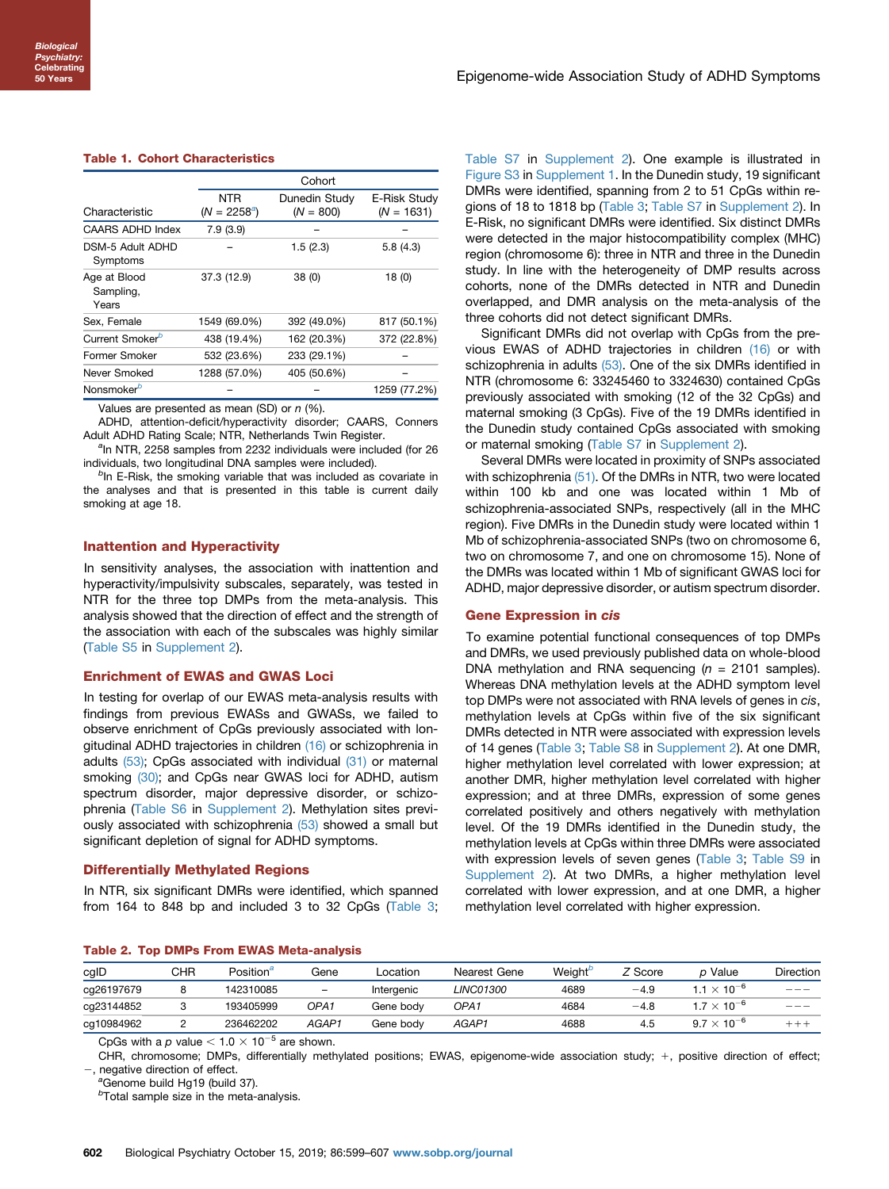#### <span id="page-3-0"></span>Table 1. Cohort Characteristics

|                                    | Cohort                       |                              |                              |  |  |
|------------------------------------|------------------------------|------------------------------|------------------------------|--|--|
| Characteristic                     | <b>NTR</b><br>$(N = 2258^a)$ | Dunedin Study<br>$(N = 800)$ | E-Risk Study<br>$(N = 1631)$ |  |  |
| CAARS ADHD Index                   | 7.9(3.9)                     |                              |                              |  |  |
| DSM-5 Adult ADHD<br>Symptoms       |                              | 1.5(2.3)                     | 5.8(4.3)                     |  |  |
| Age at Blood<br>Sampling,<br>Years | 37.3 (12.9)                  | 38(0)                        | 18(0)                        |  |  |
| Sex, Female                        | 1549 (69.0%)                 | 392 (49.0%)                  | 817 (50.1%)                  |  |  |
| Current Smoker <sup>b</sup>        | 438 (19.4%)                  | 162 (20.3%)                  | 372 (22.8%)                  |  |  |
| Former Smoker                      | 532 (23.6%)                  | 233 (29.1%)                  |                              |  |  |
| Never Smoked                       | 1288 (57.0%)                 | 405 (50.6%)                  |                              |  |  |
| Nonsmoker <sup>b</sup>             |                              |                              | 1259 (77.2%)                 |  |  |

Values are presented as mean (SD) or  $n$  (%).

ADHD, attention-deficit/hyperactivity disorder; CAARS, Conners Adult ADHD Rating Scale; NTR, Netherlands Twin Register.

<sup>a</sup>In NTR, 2258 samples from 2232 individuals were included (for 26 individuals, two longitudinal DNA samples were included).

 $<sup>b</sup>$ In E-Risk, the smoking variable that was included as covariate in</sup> the analyses and that is presented in this table is current daily smoking at age 18.

#### Inattention and Hyperactivity

In sensitivity analyses, the association with inattention and hyperactivity/impulsivity subscales, separately, was tested in NTR for the three top DMPs from the meta-analysis. This analysis showed that the direction of effect and the strength of the association with each of the subscales was highly similar ([Table S5](#page-8-0) in [Supplement 2](#page-8-0)).

#### Enrichment of EWAS and GWAS Loci

In testing for overlap of our EWAS meta-analysis results with findings from previous EWASs and GWASs, we failed to observe enrichment of CpGs previously associated with longitudinal ADHD trajectories in children [\(16\)](#page-7-0) or schizophrenia in adults [\(53\);](#page-8-0) CpGs associated with individual [\(31\)](#page-8-0) or maternal smoking [\(30\)](#page-8-0); and CpGs near GWAS loci for ADHD, autism spectrum disorder, major depressive disorder, or schizophrenia [\(Table S6](#page-8-0) in [Supplement 2](#page-8-0)). Methylation sites previ-ously associated with schizophrenia [\(53\)](#page-8-0) showed a small but significant depletion of signal for ADHD symptoms.

#### Differentially Methylated Regions

In NTR, six significant DMRs were identified, which spanned from 164 to 848 bp and included 3 to 32 CpGs [\(Table 3](#page-4-0); [Table S7](#page-8-0) in [Supplement 2\)](#page-8-0). One example is illustrated in [Figure S3](#page-8-0) in [Supplement 1.](#page-8-0) In the Dunedin study, 19 significant DMRs were identified, spanning from 2 to 51 CpGs within regions of 18 to 1818 bp ([Table 3](#page-4-0); [Table S7](#page-8-0) in [Supplement 2](#page-8-0)). In E-Risk, no significant DMRs were identified. Six distinct DMRs were detected in the major histocompatibility complex (MHC) region (chromosome 6): three in NTR and three in the Dunedin study. In line with the heterogeneity of DMP results across cohorts, none of the DMRs detected in NTR and Dunedin overlapped, and DMR analysis on the meta-analysis of the three cohorts did not detect significant DMRs.

Significant DMRs did not overlap with CpGs from the previous EWAS of ADHD trajectories in children [\(16\)](#page-7-0) or with schizophrenia in adults [\(53\).](#page-8-0) One of the six DMRs identified in NTR (chromosome 6: 33245460 to 3324630) contained CpGs previously associated with smoking (12 of the 32 CpGs) and maternal smoking (3 CpGs). Five of the 19 DMRs identified in the Dunedin study contained CpGs associated with smoking or maternal smoking ([Table S7](#page-8-0) in [Supplement 2](#page-8-0)).

Several DMRs were located in proximity of SNPs associated with schizophrenia [\(51\).](#page-8-0) Of the DMRs in NTR, two were located within 100 kb and one was located within 1 Mb of schizophrenia-associated SNPs, respectively (all in the MHC region). Five DMRs in the Dunedin study were located within 1 Mb of schizophrenia-associated SNPs (two on chromosome 6, two on chromosome 7, and one on chromosome 15). None of the DMRs was located within 1 Mb of significant GWAS loci for ADHD, major depressive disorder, or autism spectrum disorder.

#### Gene Expression in cis

To examine potential functional consequences of top DMPs and DMRs, we used previously published data on whole-blood DNA methylation and RNA sequencing ( $n = 2101$  samples). Whereas DNA methylation levels at the ADHD symptom level top DMPs were not associated with RNA levels of genes in cis, methylation levels at CpGs within five of the six significant DMRs detected in NTR were associated with expression levels of 14 genes [\(Table 3](#page-4-0); [Table S8](#page-8-0) in [Supplement 2\)](#page-8-0). At one DMR, higher methylation level correlated with lower expression; at another DMR, higher methylation level correlated with higher expression; and at three DMRs, expression of some genes correlated positively and others negatively with methylation level. Of the 19 DMRs identified in the Dunedin study, the methylation levels at CpGs within three DMRs were associated with expression levels of seven genes [\(Table 3](#page-4-0); [Table S9](#page-8-0) in [Supplement 2\)](#page-8-0). At two DMRs, a higher methylation level correlated with lower expression, and at one DMR, a higher methylation level correlated with higher expression.

#### Table 2. Top DMPs From EWAS Meta-analysis

| cgID       | CHR | Position <sup>a</sup> | Gene                     | Location   | Nearest Gene     | Weight <sup>o</sup> | Z Score | p Value                     | Direction |
|------------|-----|-----------------------|--------------------------|------------|------------------|---------------------|---------|-----------------------------|-----------|
| cg26197679 | 8   | 142310085             | $\overline{\phantom{a}}$ | Interaenic | <i>LINC01300</i> | 4689                | $-4.9$  | 1.1 $\times$ 10 $^{-\circ}$ | $- - -$   |
| cg23144852 |     | 193405999             | OPA <sub>1</sub>         | Gene bodv  | OPA1             | 4684                | -4.8    | l.7 $\times$ 10 $^{-6}$     | $- - -$   |
| cg10984962 |     | 236462202             | AGAP1                    | Gene bodv  | AGAP1            | 4688                | 4.5     | $9.7 \times 10^{-6}$        | $+++$     |

CpGs with a p value  $< 1.0 \times 10^{-5}$  are shown.

CHR, chromosome; DMPs, differentially methylated positions; EWAS, epigenome-wide association study; +, positive direction of effect; -, negative direction of effect.

<sup>a</sup>Genome build Hg19 (build 37).

 $b$ Total sample size in the meta-analysis.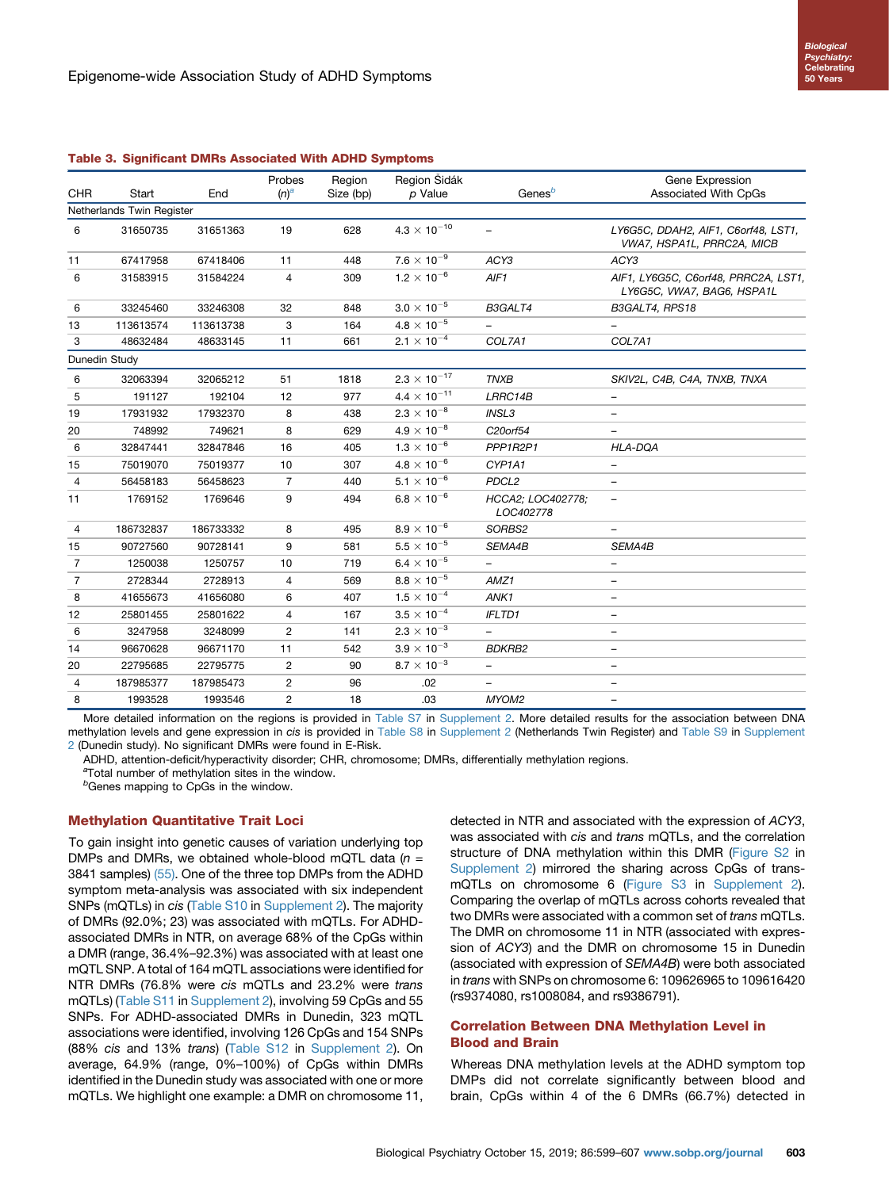| <b>Biological</b>  |
|--------------------|
| Psychiatry:        |
| <b>Celebrating</b> |
| 50 Years           |

#### <span id="page-4-0"></span>Table 3. Significant DMRs Associated With ADHD Symptoms

|                |                           |           | Probes         | Region    | Region Šidák          |                                | Gene Expression                                                         |  |
|----------------|---------------------------|-----------|----------------|-----------|-----------------------|--------------------------------|-------------------------------------------------------------------------|--|
| <b>CHR</b>     | Start                     | End       | $(n)^a$        | Size (bp) | p Value               | Genes <sup>b</sup>             | Associated With CpGs                                                    |  |
|                | Netherlands Twin Register |           |                |           |                       |                                |                                                                         |  |
| 6              | 31650735                  | 31651363  | 19             | 628       | $4.3 \times 10^{-10}$ | $\equiv$                       | LY6G5C, DDAH2, AIF1, C6orf48, LST1,<br><b>WA7, HSPA1L, PRRC2A, MICB</b> |  |
| 11             | 67417958                  | 67418406  | 11             | 448       | $7.6 \times 10^{-9}$  | ACY3                           | ACY3                                                                    |  |
| 6              | 31583915                  | 31584224  | 4              | 309       | $1.2 \times 10^{-6}$  | AIF1                           | AIF1, LY6G5C, C6orf48, PRRC2A, LST1,<br>LY6G5C, VWA7, BAG6, HSPA1L      |  |
| 6              | 33245460                  | 33246308  | 32             | 848       | $3.0\times10^{-5}$    | B3GALT4                        | B3GALT4, RPS18                                                          |  |
| 13             | 113613574                 | 113613738 | 3              | 164       | $4.8 \times 10^{-5}$  |                                |                                                                         |  |
| 3              | 48632484                  | 48633145  | 11             | 661       | $2.1 \times 10^{-4}$  | COL7A1                         | COL7A1                                                                  |  |
| Dunedin Study  |                           |           |                |           |                       |                                |                                                                         |  |
| 6              | 32063394                  | 32065212  | 51             | 1818      | $2.3 \times 10^{-17}$ | <b>TNXB</b>                    | SKIV2L, C4B, C4A, TNXB, TNXA                                            |  |
| 5              | 191127                    | 192104    | 12             | 977       | $4.4 \times 10^{-11}$ | LRRC14B                        | $\overline{\phantom{m}}$                                                |  |
| 19             | 17931932                  | 17932370  | 8              | 438       | $2.3 \times 10^{-8}$  | INSL3                          | $\overline{\phantom{m}}$                                                |  |
| 20             | 748992                    | 749621    | 8              | 629       | $4.9 \times 10^{-8}$  | C20orf54                       | $\overline{\phantom{m}}$                                                |  |
| 6              | 32847441                  | 32847846  | 16             | 405       | $1.3 \times 10^{-6}$  | PPP1R2P1                       | <b>HLA-DQA</b>                                                          |  |
| 15             | 75019070                  | 75019377  | 10             | 307       | $4.8\times10^{-6}$    | CYP1A1                         | $\qquad \qquad -$                                                       |  |
| $\overline{4}$ | 56458183                  | 56458623  | 7              | 440       | $5.1\times10^{-6}$    | PDCL <sub>2</sub>              | $\overline{\phantom{m}}$                                                |  |
| 11             | 1769152                   | 1769646   | 9              | 494       | $6.8 \times 10^{-6}$  | HCCA2; LOC402778;<br>LOC402778 | $\overline{\phantom{m}}$                                                |  |
| 4              | 186732837                 | 186733332 | 8              | 495       | $8.9 \times 10^{-6}$  | SORBS2                         |                                                                         |  |
| 15             | 90727560                  | 90728141  | 9              | 581       | $5.5 \times 10^{-5}$  | SEMA4B                         | SEMA4B                                                                  |  |
| $\overline{7}$ | 1250038                   | 1250757   | 10             | 719       | $6.4 \times 10^{-5}$  |                                | $\overline{\phantom{0}}$                                                |  |
| $\overline{7}$ | 2728344                   | 2728913   | 4              | 569       | $8.8\times10^{-5}$    | AMZ1                           | $\qquad \qquad -$                                                       |  |
| 8              | 41655673                  | 41656080  | 6              | 407       | $1.5\times10^{-4}$    | ANK1                           | $\qquad \qquad -$                                                       |  |
| 12             | 25801455                  | 25801622  | 4              | 167       | $3.5 \times 10^{-4}$  | <b>IFLTD1</b>                  | $\overline{\phantom{0}}$                                                |  |
| 6              | 3247958                   | 3248099   | $\overline{c}$ | 141       | $2.3 \times 10^{-3}$  |                                | $\qquad \qquad -$                                                       |  |
| 14             | 96670628                  | 96671170  | 11             | 542       | $3.9\times10^{-3}$    | <b>BDKRB2</b>                  | $\overline{\phantom{0}}$                                                |  |
| 20             | 22795685                  | 22795775  | $\overline{c}$ | 90        | $8.7 \times 10^{-3}$  | $\overline{\phantom{m}}$       | $\overline{\phantom{m}}$                                                |  |
| 4              | 187985377                 | 187985473 | $\overline{c}$ | 96        | .02                   |                                |                                                                         |  |
| 8              | 1993528                   | 1993546   | 2              | 18        | .03                   | MYOM2                          | $\overline{\phantom{0}}$                                                |  |

More detailed information on the regions is provided in [Table S7](#page-8-0) in [Supplement 2.](#page-8-0) More detailed results for the association between DNA methylation levels and gene expression in cis is provided in [Table S8](#page-8-0) in [Supplement 2](#page-8-0) (Netherlands Twin Register) and [Table S9](#page-8-0) in [Supplement](#page-8-0) [2](#page-8-0) (Dunedin study). No significant DMRs were found in E-Risk.

ADHD, attention-deficit/hyperactivity disorder; CHR, chromosome; DMRs, differentially methylation regions.

<sup>a</sup>Total number of methylation sites in the window.

<sup>b</sup>Genes mapping to CpGs in the window.

#### Methylation Quantitative Trait Loci

To gain insight into genetic causes of variation underlying top DMPs and DMRs, we obtained whole-blood mQTL data  $(n = 1)$ 3841 samples) [\(55\)](#page-8-0). One of the three top DMPs from the ADHD symptom meta-analysis was associated with six independent SNPs (mQTLs) in cis [\(Table S10](#page-8-0) in [Supplement 2\)](#page-8-0). The majority of DMRs (92.0%; 23) was associated with mQTLs. For ADHDassociated DMRs in NTR, on average 68% of the CpGs within a DMR (range, 36.4%–92.3%) was associated with at least one mQTL SNP. A total of 164 mQTL associations were identified for NTR DMRs (76.8% were cis mQTLs and 23.2% were trans mQTLs) [\(Table S11](#page-8-0) in [Supplement 2](#page-8-0)), involving 59 CpGs and 55 SNPs. For ADHD-associated DMRs in Dunedin, 323 mQTL associations were identified, involving 126 CpGs and 154 SNPs (88% cis and 13% trans) [\(Table S12](#page-8-0) in [Supplement 2\)](#page-8-0). On average, 64.9% (range, 0%–100%) of CpGs within DMRs identified in the Dunedin study was associated with one or more mQTLs. We highlight one example: a DMR on chromosome 11,

detected in NTR and associated with the expression of ACY3, was associated with cis and trans mQTLs, and the correlation structure of DNA methylation within this DMR [\(Figure S2](#page-8-0) in [Supplement 2\)](#page-8-0) mirrored the sharing across CpGs of transmQTLs on chromosome 6 [\(Figure S3](#page-8-0) in [Supplement 2\)](#page-8-0). Comparing the overlap of mQTLs across cohorts revealed that two DMRs were associated with a common set of trans mQTLs. The DMR on chromosome 11 in NTR (associated with expression of ACY3) and the DMR on chromosome 15 in Dunedin (associated with expression of SEMA4B) were both associated in trans with SNPs on chromosome 6: 109626965 to 109616420 (rs9374080, rs1008084, and rs9386791).

# Correlation Between DNA Methylation Level in Blood and Brain

Whereas DNA methylation levels at the ADHD symptom top DMPs did not correlate significantly between blood and brain, CpGs within 4 of the 6 DMRs (66.7%) detected in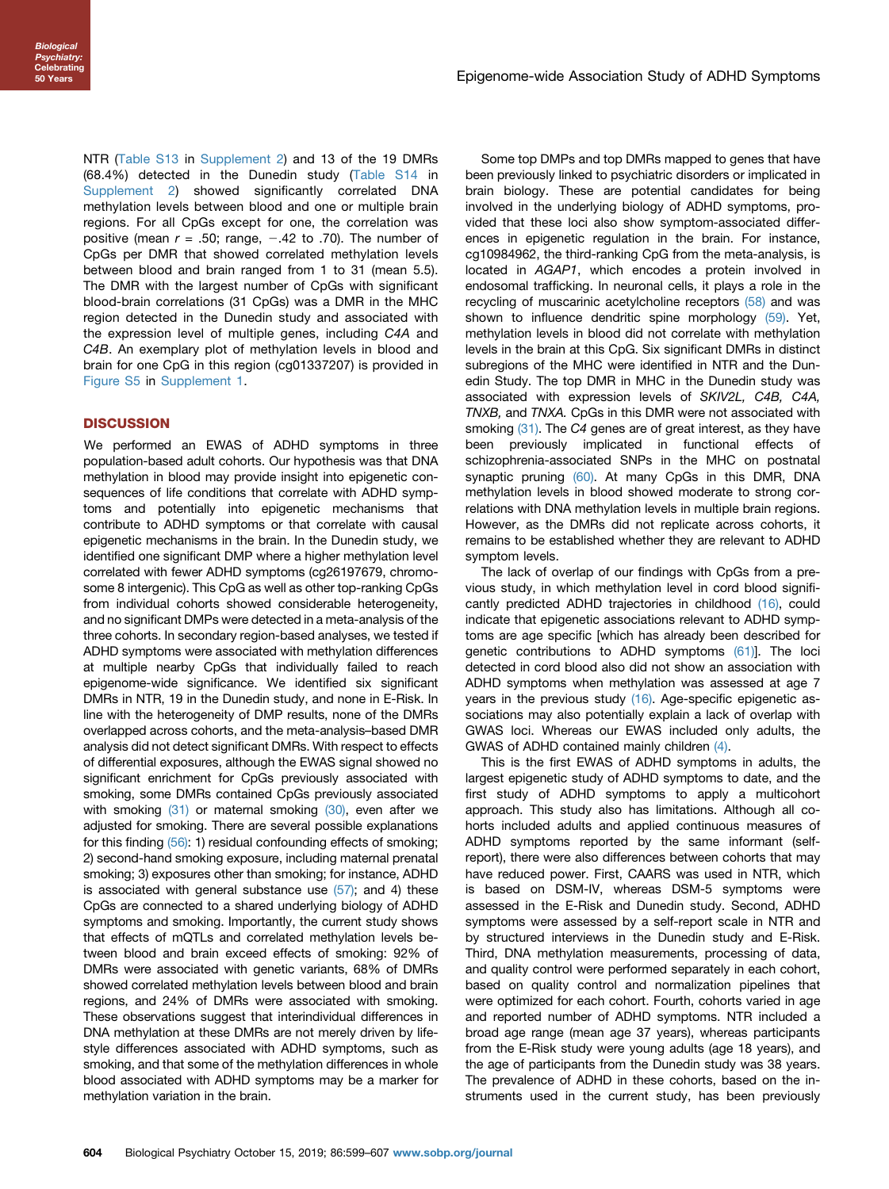NTR ([Table S13](#page-8-0) in [Supplement 2\)](#page-8-0) and 13 of the 19 DMRs (68.4%) detected in the Dunedin study [\(Table S14](#page-8-0) in [Supplement 2\)](#page-8-0) showed significantly correlated DNA methylation levels between blood and one or multiple brain regions. For all CpGs except for one, the correlation was positive (mean  $r = .50$ ; range,  $-.42$  to .70). The number of CpGs per DMR that showed correlated methylation levels between blood and brain ranged from 1 to 31 (mean 5.5). The DMR with the largest number of CpGs with significant blood-brain correlations (31 CpGs) was a DMR in the MHC region detected in the Dunedin study and associated with the expression level of multiple genes, including C4A and C4B. An exemplary plot of methylation levels in blood and brain for one CpG in this region (cg01337207) is provided in [Figure S5](#page-8-0) in [Supplement 1](#page-8-0).

# **DISCUSSION**

We performed an EWAS of ADHD symptoms in three population-based adult cohorts. Our hypothesis was that DNA methylation in blood may provide insight into epigenetic consequences of life conditions that correlate with ADHD symptoms and potentially into epigenetic mechanisms that contribute to ADHD symptoms or that correlate with causal epigenetic mechanisms in the brain. In the Dunedin study, we identified one significant DMP where a higher methylation level correlated with fewer ADHD symptoms (cg26197679, chromosome 8 intergenic). This CpG as well as other top-ranking CpGs from individual cohorts showed considerable heterogeneity, and no significant DMPs were detected in a meta-analysis of the three cohorts. In secondary region-based analyses, we tested if ADHD symptoms were associated with methylation differences at multiple nearby CpGs that individually failed to reach epigenome-wide significance. We identified six significant DMRs in NTR, 19 in the Dunedin study, and none in E-Risk. In line with the heterogeneity of DMP results, none of the DMRs overlapped across cohorts, and the meta-analysis–based DMR analysis did not detect significant DMRs. With respect to effects of differential exposures, although the EWAS signal showed no significant enrichment for CpGs previously associated with smoking, some DMRs contained CpGs previously associated with smoking  $(31)$  or maternal smoking  $(30)$ , even after we adjusted for smoking. There are several possible explanations for this finding [\(56\):](#page-8-0) 1) residual confounding effects of smoking; 2) second-hand smoking exposure, including maternal prenatal smoking; 3) exposures other than smoking; for instance, ADHD is associated with general substance use  $(57)$ ; and 4) these CpGs are connected to a shared underlying biology of ADHD symptoms and smoking. Importantly, the current study shows that effects of mQTLs and correlated methylation levels between blood and brain exceed effects of smoking: 92% of DMRs were associated with genetic variants, 68% of DMRs showed correlated methylation levels between blood and brain regions, and 24% of DMRs were associated with smoking. These observations suggest that interindividual differences in DNA methylation at these DMRs are not merely driven by lifestyle differences associated with ADHD symptoms, such as smoking, and that some of the methylation differences in whole blood associated with ADHD symptoms may be a marker for methylation variation in the brain.

Some top DMPs and top DMRs mapped to genes that have been previously linked to psychiatric disorders or implicated in brain biology. These are potential candidates for being involved in the underlying biology of ADHD symptoms, provided that these loci also show symptom-associated differences in epigenetic regulation in the brain. For instance, cg10984962, the third-ranking CpG from the meta-analysis, is located in AGAP1, which encodes a protein involved in endosomal trafficking. In neuronal cells, it plays a role in the recycling of muscarinic acetylcholine receptors [\(58\)](#page-8-0) and was shown to influence dendritic spine morphology [\(59\)](#page-8-0). Yet, methylation levels in blood did not correlate with methylation levels in the brain at this CpG. Six significant DMRs in distinct subregions of the MHC were identified in NTR and the Dunedin Study. The top DMR in MHC in the Dunedin study was associated with expression levels of SKIV2L, C4B, C4A, TNXB, and TNXA. CpGs in this DMR were not associated with smoking [\(31\)](#page-8-0). The C4 genes are of great interest, as they have been previously implicated in functional effects of schizophrenia-associated SNPs in the MHC on postnatal synaptic pruning [\(60\).](#page-8-0) At many CpGs in this DMR, DNA methylation levels in blood showed moderate to strong correlations with DNA methylation levels in multiple brain regions. However, as the DMRs did not replicate across cohorts, it remains to be established whether they are relevant to ADHD symptom levels.

The lack of overlap of our findings with CpGs from a previous study, in which methylation level in cord blood significantly predicted ADHD trajectories in childhood [\(16\),](#page-7-0) could indicate that epigenetic associations relevant to ADHD symptoms are age specific [which has already been described for genetic contributions to ADHD symptoms [\(61\)\]](#page-8-0). The loci detected in cord blood also did not show an association with ADHD symptoms when methylation was assessed at age 7 years in the previous study [\(16\)](#page-7-0). Age-specific epigenetic associations may also potentially explain a lack of overlap with GWAS loci. Whereas our EWAS included only adults, the GWAS of ADHD contained mainly children [\(4\).](#page-7-0)

This is the first EWAS of ADHD symptoms in adults, the largest epigenetic study of ADHD symptoms to date, and the first study of ADHD symptoms to apply a multicohort approach. This study also has limitations. Although all cohorts included adults and applied continuous measures of ADHD symptoms reported by the same informant (selfreport), there were also differences between cohorts that may have reduced power. First, CAARS was used in NTR, which is based on DSM-IV, whereas DSM-5 symptoms were assessed in the E-Risk and Dunedin study. Second, ADHD symptoms were assessed by a self-report scale in NTR and by structured interviews in the Dunedin study and E-Risk. Third, DNA methylation measurements, processing of data, and quality control were performed separately in each cohort, based on quality control and normalization pipelines that were optimized for each cohort. Fourth, cohorts varied in age and reported number of ADHD symptoms. NTR included a broad age range (mean age 37 years), whereas participants from the E-Risk study were young adults (age 18 years), and the age of participants from the Dunedin study was 38 years. The prevalence of ADHD in these cohorts, based on the instruments used in the current study, has been previously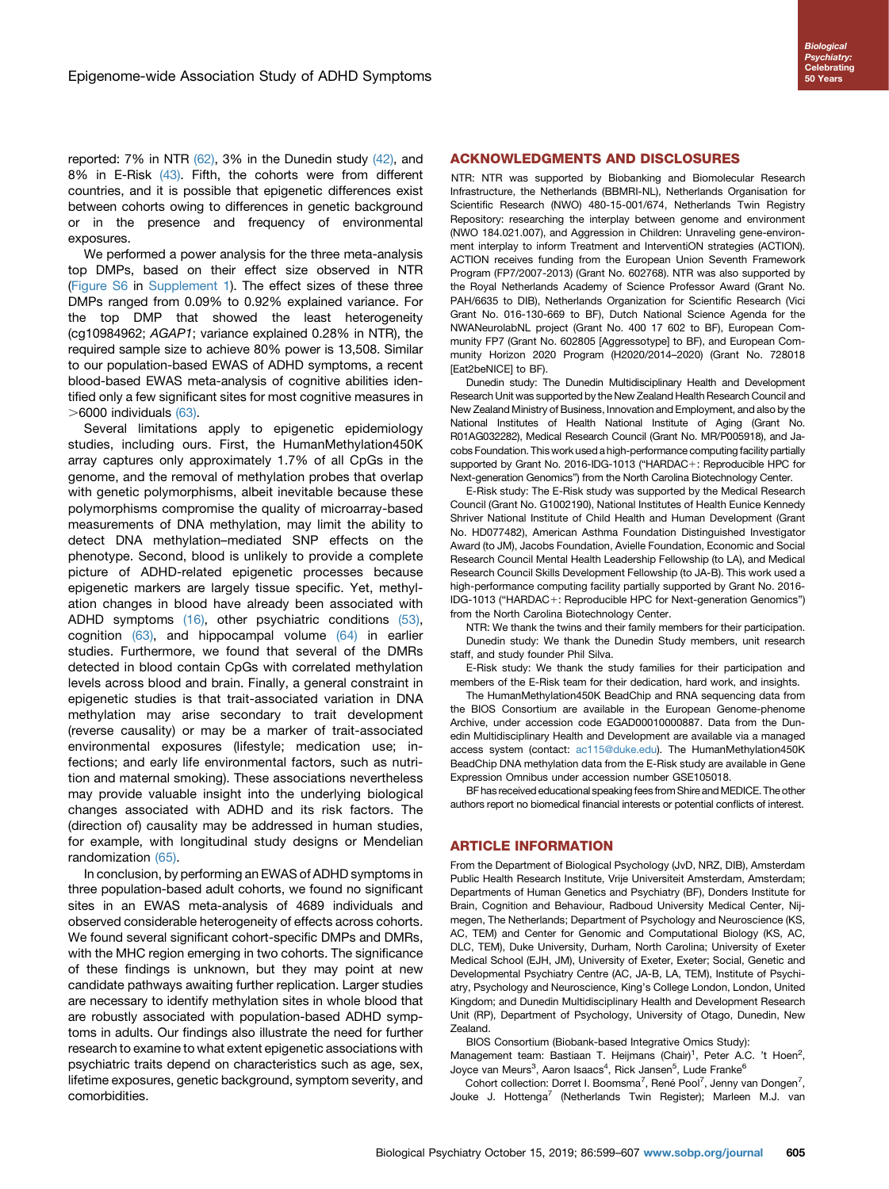reported:  $7\%$  in NTR  $(62)$ ,  $3\%$  in the Dunedin study  $(42)$ , and 8% in E-Risk [\(43\).](#page-8-0) Fifth, the cohorts were from different countries, and it is possible that epigenetic differences exist between cohorts owing to differences in genetic background or in the presence and frequency of environmental exposures.

We performed a power analysis for the three meta-analysis top DMPs, based on their effect size observed in NTR ([Figure S6](#page-8-0) in [Supplement 1\)](#page-8-0). The effect sizes of these three DMPs ranged from 0.09% to 0.92% explained variance. For the top DMP that showed the least heterogeneity (cg10984962; AGAP1; variance explained 0.28% in NTR), the required sample size to achieve 80% power is 13,508. Similar to our population-based EWAS of ADHD symptoms, a recent blood-based EWAS meta-analysis of cognitive abilities identified only a few significant sites for most cognitive measures in  $>6000$  individuals  $(63)$ .

Several limitations apply to epigenetic epidemiology studies, including ours. First, the HumanMethylation450K array captures only approximately 1.7% of all CpGs in the genome, and the removal of methylation probes that overlap with genetic polymorphisms, albeit inevitable because these polymorphisms compromise the quality of microarray-based measurements of DNA methylation, may limit the ability to detect DNA methylation–mediated SNP effects on the phenotype. Second, blood is unlikely to provide a complete picture of ADHD-related epigenetic processes because epigenetic markers are largely tissue specific. Yet, methylation changes in blood have already been associated with ADHD symptoms [\(16\),](#page-7-0) other psychiatric conditions [\(53\)](#page-8-0), cognition  $(63)$ , and hippocampal volume  $(64)$  in earlier studies. Furthermore, we found that several of the DMRs detected in blood contain CpGs with correlated methylation levels across blood and brain. Finally, a general constraint in epigenetic studies is that trait-associated variation in DNA methylation may arise secondary to trait development (reverse causality) or may be a marker of trait-associated environmental exposures (lifestyle; medication use; infections; and early life environmental factors, such as nutrition and maternal smoking). These associations nevertheless may provide valuable insight into the underlying biological changes associated with ADHD and its risk factors. The (direction of) causality may be addressed in human studies, for example, with longitudinal study designs or Mendelian randomization [\(65\)](#page-8-0).

In conclusion, by performing an EWAS of ADHD symptoms in three population-based adult cohorts, we found no significant sites in an EWAS meta-analysis of 4689 individuals and observed considerable heterogeneity of effects across cohorts. We found several significant cohort-specific DMPs and DMRs, with the MHC region emerging in two cohorts. The significance of these findings is unknown, but they may point at new candidate pathways awaiting further replication. Larger studies are necessary to identify methylation sites in whole blood that are robustly associated with population-based ADHD symptoms in adults. Our findings also illustrate the need for further research to examine to what extent epigenetic associations with psychiatric traits depend on characteristics such as age, sex, lifetime exposures, genetic background, symptom severity, and comorbidities.

#### ACKNOWLEDGMENTS AND DISCLOSURES

NTR: NTR was supported by Biobanking and Biomolecular Research Infrastructure, the Netherlands (BBMRI-NL), Netherlands Organisation for Scientific Research (NWO) 480-15-001/674, Netherlands Twin Registry Repository: researching the interplay between genome and environment (NWO 184.021.007), and Aggression in Children: Unraveling gene-environment interplay to inform Treatment and InterventiON strategies (ACTION). ACTION receives funding from the European Union Seventh Framework Program (FP7/2007-2013) (Grant No. 602768). NTR was also supported by the Royal Netherlands Academy of Science Professor Award (Grant No. PAH/6635 to DIB), Netherlands Organization for Scientific Research (Vici Grant No. 016-130-669 to BF), Dutch National Science Agenda for the NWANeurolabNL project (Grant No. 400 17 602 to BF), European Community FP7 (Grant No. 602805 [Aggressotype] to BF), and European Community Horizon 2020 Program (H2020/2014–2020) (Grant No. 728018 [Eat2beNICE] to BF).

Dunedin study: The Dunedin Multidisciplinary Health and Development Research Unit was supported by the New Zealand Health Research Council and New Zealand Ministry of Business, Innovation and Employment, and also by the National Institutes of Health National Institute of Aging (Grant No. R01AG032282), Medical Research Council (Grant No. MR/P005918), and Jacobs Foundation. This work used a high-performance computing facility partially supported by Grant No. 2016-IDG-1013 ("HARDAC+: Reproducible HPC for Next-generation Genomics") from the North Carolina Biotechnology Center.

E-Risk study: The E-Risk study was supported by the Medical Research Council (Grant No. G1002190), National Institutes of Health Eunice Kennedy Shriver National Institute of Child Health and Human Development (Grant No. HD077482), American Asthma Foundation Distinguished Investigator Award (to JM), Jacobs Foundation, Avielle Foundation, Economic and Social Research Council Mental Health Leadership Fellowship (to LA), and Medical Research Council Skills Development Fellowship (to JA-B). This work used a high-performance computing facility partially supported by Grant No. 2016- IDG-1013 ("HARDAC+: Reproducible HPC for Next-generation Genomics") from the North Carolina Biotechnology Center.

NTR: We thank the twins and their family members for their participation. Dunedin study: We thank the Dunedin Study members, unit research staff, and study founder Phil Silva.

E-Risk study: We thank the study families for their participation and members of the E-Risk team for their dedication, hard work, and insights.

The HumanMethylation450K BeadChip and RNA sequencing data from the BIOS Consortium are available in the European Genome-phenome Archive, under accession code EGAD00010000887. Data from the Dunedin Multidisciplinary Health and Development are available via a managed access system (contact: [ac115@duke.edu](mailto:ac115@duke.edu)). The HumanMethylation450K BeadChip DNA methylation data from the E-Risk study are available in Gene Expression Omnibus under accession number GSE105018.

BF has received educational speaking fees from Shire and MEDICE. The other authors report no biomedical financial interests or potential conflicts of interest.

# ARTICLE INFORMATION

From the Department of Biological Psychology (JvD, NRZ, DIB), Amsterdam Public Health Research Institute, Vrije Universiteit Amsterdam, Amsterdam; Departments of Human Genetics and Psychiatry (BF), Donders Institute for Brain, Cognition and Behaviour, Radboud University Medical Center, Nijmegen, The Netherlands; Department of Psychology and Neuroscience (KS, AC, TEM) and Center for Genomic and Computational Biology (KS, AC, DLC, TEM), Duke University, Durham, North Carolina; University of Exeter Medical School (EJH, JM), University of Exeter, Exeter; Social, Genetic and Developmental Psychiatry Centre (AC, JA-B, LA, TEM), Institute of Psychiatry, Psychology and Neuroscience, King's College London, London, United Kingdom; and Dunedin Multidisciplinary Health and Development Research Unit (RP), Department of Psychology, University of Otago, Dunedin, New Zealand.

BIOS Consortium (Biobank-based Integrative Omics Study): Management team: Bastiaan T. Heijmans (Chair)<sup>1</sup>, Peter A.C. 't Hoen<sup>2</sup>, Joyce van Meurs<sup>3</sup>, Aaron Isaacs<sup>4</sup>, Rick Jansen<sup>5</sup>, Lude Franke<sup>6</sup>

Cohort collection: Dorret I. Boomsma<sup>7</sup>, René Pool<sup>7</sup>, Jenny van Dongen<sup>7</sup>, Jouke J. Hottenga<sup>7</sup> (Netherlands Twin Register); Marleen M.J. van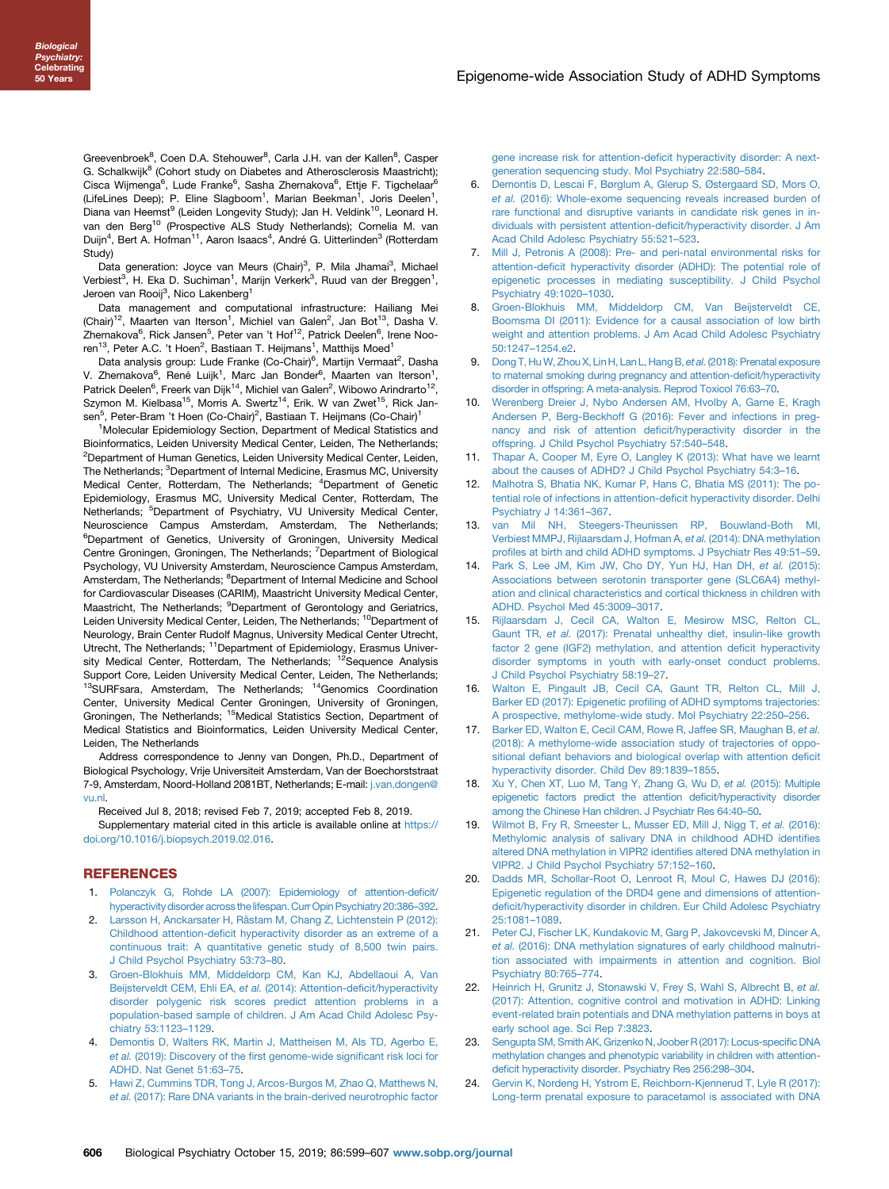<span id="page-7-0"></span>Greevenbroek<sup>8</sup>, Coen D.A. Stehouwer<sup>8</sup>, Carla J.H. van der Kallen<sup>8</sup>, Casper G. Schalkwijk<sup>8</sup> (Cohort study on Diabetes and Atherosclerosis Maastricht); Cisca Wijmenga<sup>6</sup>, Lude Franke<sup>6</sup>, Sasha Zhernakova<sup>6</sup>, Ettje F. Tigchelaar<sup>6</sup> (LifeLines Deep); P. Eline Slagboom<sup>1</sup>, Marian Beekman<sup>1</sup>, Joris Deelen<sup>1</sup>, Diana van Heemst<sup>9</sup> (Leiden Longevity Study); Jan H. Veldink<sup>10</sup>, Leonard H. van den Berg<sup>10</sup> (Prospective ALS Study Netherlands); Cornelia M. van Duijn<sup>4</sup>, Bert A. Hofman<sup>11</sup>, Aaron Isaacs<sup>4</sup>, André G. Uitterlinden<sup>3</sup> (Rotterdam Study)

Data generation: Joyce van Meurs (Chair)<sup>3</sup>, P. Mila Jhamai<sup>3</sup>, Michael Verbiest<sup>3</sup>, H. Eka D. Suchiman<sup>1</sup>, Marijn Verkerk<sup>3</sup>, Ruud van der Breggen<sup>1</sup>, Jeroen van Rooij<sup>3</sup>, Nico Lakenberg<sup>1</sup>

Data management and computational infrastructure: Hailiang Mei (Chair)<sup>12</sup>, Maarten van Iterson<sup>1</sup>, Michiel van Galen<sup>2</sup>, Jan Bot<sup>13</sup>, Dasha V. Zhernakova<sup>6</sup>, Rick Jansen<sup>5</sup>, Peter van 't Hof<sup>12</sup>, Patrick Deelen<sup>6</sup>, Irene Nooren<sup>13</sup>, Peter A.C. 't Hoen<sup>2</sup>, Bastiaan T. Heijmans<sup>1</sup>, Matthijs Moed<sup>1</sup>

Data analysis group: Lude Franke (Co-Chair)<sup>6</sup>, Martijn Vermaat<sup>2</sup>, Dasha V. Zhernakova<sup>6</sup>, René Luijk<sup>1</sup>, Marc Jan Bonder<sup>6</sup>, Maarten van Iterson<sup>1</sup>, Patrick Deelen<sup>6</sup>, Freerk van Dijk<sup>14</sup>, Michiel van Galen<sup>2</sup>, Wibowo Arindrarto<sup>12</sup>, Szymon M. Kielbasa<sup>15</sup>, Morris A. Swertz<sup>14</sup>, Erik. W van Zwet<sup>15</sup>, Rick Jansen<sup>5</sup>, Peter-Bram 't Hoen (Co-Chair)<sup>2</sup>, Bastiaan T. Heijmans (Co-Chair)<sup>1</sup>

<sup>1</sup>Molecular Epidemiology Section, Department of Medical Statistics and Bioinformatics, Leiden University Medical Center, Leiden, The Netherlands; <sup>2</sup>Department of Human Genetics, Leiden University Medical Center, Leiden, The Netherlands; <sup>3</sup>Department of Internal Medicine, Erasmus MC, University Medical Center, Rotterdam, The Netherlands; <sup>4</sup>Department of Genetic Epidemiology, Erasmus MC, University Medical Center, Rotterdam, The Netherlands; <sup>5</sup>Department of Psychiatry, VU University Medical Center, Neuroscience Campus Amsterdam, Amsterdam, The Netherlands; <sup>6</sup>Department of Genetics, University of Groningen, University Medical Centre Groningen, Groningen, The Netherlands; <sup>7</sup>Department of Biological Psychology, VU University Amsterdam, Neuroscience Campus Amsterdam, Amsterdam, The Netherlands; <sup>8</sup>Department of Internal Medicine and School for Cardiovascular Diseases (CARIM), Maastricht University Medical Center, Maastricht, The Netherlands; <sup>9</sup>Department of Gerontology and Geriatrics, Leiden University Medical Center, Leiden, The Netherlands; <sup>10</sup>Department of Neurology, Brain Center Rudolf Magnus, University Medical Center Utrecht, Utrecht, The Netherlands; 11Department of Epidemiology, Erasmus University Medical Center, Rotterdam, The Netherlands; <sup>12</sup>Sequence Analysis Support Core, Leiden University Medical Center, Leiden, The Netherlands;<br><sup>13</sup>SURFsara, Amsterdam, The Netherlands; <sup>14</sup>Genomics Coordination Center, University Medical Center Groningen, University of Groningen, Groningen, The Netherlands; <sup>15</sup>Medical Statistics Section, Department of Medical Statistics and Bioinformatics, Leiden University Medical Center, Leiden, The Netherlands

Address correspondence to Jenny van Dongen, Ph.D., Department of Biological Psychology, Vrije Universiteit Amsterdam, Van der Boechorststraat 7-9, Amsterdam, Noord-Holland 2081BT, Netherlands; E-mail: [j.van.dongen@](mailto:j.van.dongen@vu.nl) [vu.nl](mailto:j.van.dongen@vu.nl).

Received Jul 8, 2018; revised Feb 7, 2019; accepted Feb 8, 2019.

Supplementary material cited in this article is available online at [https://](https://doi.org/10.1016/j.biopsych.2019.02.016) [doi.org/10.1016/j.biopsych.2019.02.016](https://doi.org/10.1016/j.biopsych.2019.02.016).

# **REFERENCES**

- 1. [Polanczyk G, Rohde LA \(2007\): Epidemiology of attention-de](http://refhub.elsevier.com/S0006-3223(19)30125-8/sref1)ficit/ [hyperactivity disorder across the lifespan. Curr Opin Psychiatry 20:386](http://refhub.elsevier.com/S0006-3223(19)30125-8/sref1)–392.
- 2. [Larsson H, Anckarsater H, Råstam M, Chang Z, Lichtenstein P \(2012\):](http://refhub.elsevier.com/S0006-3223(19)30125-8/sref2) Childhood attention-defi[cit hyperactivity disorder as an extreme of a](http://refhub.elsevier.com/S0006-3223(19)30125-8/sref2) [continuous trait: A quantitative genetic study of 8,500 twin pairs.](http://refhub.elsevier.com/S0006-3223(19)30125-8/sref2) [J Child Psychol Psychiatry 53:73](http://refhub.elsevier.com/S0006-3223(19)30125-8/sref2)–80.
- 3. [Groen-Blokhuis MM, Middeldorp CM, Kan KJ, Abdellaoui A, Van](http://refhub.elsevier.com/S0006-3223(19)30125-8/sref3) [Beijsterveldt CEM, Ehli EA,](http://refhub.elsevier.com/S0006-3223(19)30125-8/sref3) et al. (2014): Attention-deficit/hyperactivity [disorder polygenic risk scores predict attention problems in a](http://refhub.elsevier.com/S0006-3223(19)30125-8/sref3) [population-based sample of children. J Am Acad Child Adolesc Psy](http://refhub.elsevier.com/S0006-3223(19)30125-8/sref3)[chiatry 53:1123](http://refhub.elsevier.com/S0006-3223(19)30125-8/sref3)–1129.
- 4. [Demontis D, Walters RK, Martin J, Mattheisen M, Als TD, Agerbo E,](http://refhub.elsevier.com/S0006-3223(19)30125-8/sref4) et al. [\(2019\): Discovery of the](http://refhub.elsevier.com/S0006-3223(19)30125-8/sref4) first genome-wide significant risk loci for [ADHD. Nat Genet 51:63](http://refhub.elsevier.com/S0006-3223(19)30125-8/sref4)–75.
- 5. [Hawi Z, Cummins TDR, Tong J, Arcos-Burgos M, Zhao Q, Matthews N,](http://refhub.elsevier.com/S0006-3223(19)30125-8/sref5) et al. [\(2017\): Rare DNA variants in the brain-derived neurotrophic factor](http://refhub.elsevier.com/S0006-3223(19)30125-8/sref5)

[gene increase risk for attention-de](http://refhub.elsevier.com/S0006-3223(19)30125-8/sref5)ficit hyperactivity disorder: A next[generation sequencing study. Mol Psychiatry 22:580](http://refhub.elsevier.com/S0006-3223(19)30125-8/sref5)–584.

- 6. [Demontis D, Lescai F, Børglum A, Glerup S, Østergaard SD, Mors O,](http://refhub.elsevier.com/S0006-3223(19)30125-8/sref6) et al. [\(2016\): Whole-exome sequencing reveals increased burden of](http://refhub.elsevier.com/S0006-3223(19)30125-8/sref6) [rare functional and disruptive variants in candidate risk genes in in](http://refhub.elsevier.com/S0006-3223(19)30125-8/sref6)[dividuals with persistent attention-de](http://refhub.elsevier.com/S0006-3223(19)30125-8/sref6)ficit/hyperactivity disorder. J Am [Acad Child Adolesc Psychiatry 55:521](http://refhub.elsevier.com/S0006-3223(19)30125-8/sref6)–523.
- 7. [Mill J, Petronis A \(2008\): Pre- and peri-natal environmental risks for](http://refhub.elsevier.com/S0006-3223(19)30125-8/sref7) attention-defi[cit hyperactivity disorder \(ADHD\): The potential role of](http://refhub.elsevier.com/S0006-3223(19)30125-8/sref7) [epigenetic processes in mediating susceptibility. J Child Psychol](http://refhub.elsevier.com/S0006-3223(19)30125-8/sref7) [Psychiatry 49:1020](http://refhub.elsevier.com/S0006-3223(19)30125-8/sref7)–1030.
- 8. [Groen-Blokhuis MM, Middeldorp CM, Van Beijsterveldt CE,](http://refhub.elsevier.com/S0006-3223(19)30125-8/sref8) [Boomsma DI \(2011\): Evidence for a causal association of low birth](http://refhub.elsevier.com/S0006-3223(19)30125-8/sref8) [weight and attention problems. J Am Acad Child Adolesc Psychiatry](http://refhub.elsevier.com/S0006-3223(19)30125-8/sref8) [50:1247](http://refhub.elsevier.com/S0006-3223(19)30125-8/sref8)–1254.e2.
- 9. Dong T, Hu W, Zhou X, Lin H, Lan L, Hang B, et al. (2018): Prenatal exposure [to maternal smoking during pregnancy and attention-de](http://refhub.elsevier.com/S0006-3223(19)30125-8/sref9)ficit/hyperactivity [disorder in offspring: A meta-analysis. Reprod Toxicol 76:63](http://refhub.elsevier.com/S0006-3223(19)30125-8/sref9)–70.
- 10. [Werenberg Dreier J, Nybo Andersen AM, Hvolby A, Garne E, Kragh](http://refhub.elsevier.com/S0006-3223(19)30125-8/sref10) [Andersen P, Berg-Beckhoff G \(2016\): Fever and infections in preg](http://refhub.elsevier.com/S0006-3223(19)30125-8/sref10)[nancy and risk of attention de](http://refhub.elsevier.com/S0006-3223(19)30125-8/sref10)ficit/hyperactivity disorder in the [offspring. J Child Psychol Psychiatry 57:540](http://refhub.elsevier.com/S0006-3223(19)30125-8/sref10)–548.
- 11. [Thapar A, Cooper M, Eyre O, Langley K \(2013\): What have we learnt](http://refhub.elsevier.com/S0006-3223(19)30125-8/sref11) [about the causes of ADHD? J Child Psychol Psychiatry 54:3](http://refhub.elsevier.com/S0006-3223(19)30125-8/sref11)–16.
- 12. [Malhotra S, Bhatia NK, Kumar P, Hans C, Bhatia MS \(2011\): The po](http://refhub.elsevier.com/S0006-3223(19)30125-8/sref12)[tential role of infections in attention-de](http://refhub.elsevier.com/S0006-3223(19)30125-8/sref12)ficit hyperactivity disorder. Delhi [Psychiatry J 14:361](http://refhub.elsevier.com/S0006-3223(19)30125-8/sref12)–367.
- 13. [van Mil NH, Steegers-Theunissen RP, Bouwland-Both MI,](http://refhub.elsevier.com/S0006-3223(19)30125-8/sref13) [Verbiest MMPJ, Rijlaarsdam J, Hofman A,](http://refhub.elsevier.com/S0006-3223(19)30125-8/sref13) et al. (2014): DNA methylation profi[les at birth and child ADHD symptoms. J Psychiatr Res 49:51](http://refhub.elsevier.com/S0006-3223(19)30125-8/sref13)–59.
- 14. [Park S, Lee JM, Kim JW, Cho DY, Yun HJ, Han DH,](http://refhub.elsevier.com/S0006-3223(19)30125-8/sref14) et al. (2015): [Associations between serotonin transporter gene \(SLC6A4\) methyl](http://refhub.elsevier.com/S0006-3223(19)30125-8/sref14)[ation and clinical characteristics and cortical thickness in children with](http://refhub.elsevier.com/S0006-3223(19)30125-8/sref14) [ADHD. Psychol Med 45:3009](http://refhub.elsevier.com/S0006-3223(19)30125-8/sref14)–3017.
- 15. [Rijlaarsdam J, Cecil CA, Walton E, Mesirow MSC, Relton CL,](http://refhub.elsevier.com/S0006-3223(19)30125-8/sref15) Gaunt TR, et al. [\(2017\): Prenatal unhealthy diet, insulin-like growth](http://refhub.elsevier.com/S0006-3223(19)30125-8/sref15) [factor 2 gene \(IGF2\) methylation, and attention de](http://refhub.elsevier.com/S0006-3223(19)30125-8/sref15)ficit hyperactivity [disorder symptoms in youth with early-onset conduct problems.](http://refhub.elsevier.com/S0006-3223(19)30125-8/sref15) [J Child Psychol Psychiatry 58:19](http://refhub.elsevier.com/S0006-3223(19)30125-8/sref15)–27.
- [Walton E, Pingault JB, Cecil CA, Gaunt TR, Relton CL, Mill J,](http://refhub.elsevier.com/S0006-3223(19)30125-8/sref16) Barker ED (2017): Epigenetic profi[ling of ADHD symptoms trajectories:](http://refhub.elsevier.com/S0006-3223(19)30125-8/sref16) [A prospective, methylome-wide study. Mol Psychiatry 22:250](http://refhub.elsevier.com/S0006-3223(19)30125-8/sref16)–256.
- 17. [Barker ED, Walton E, Cecil CAM, Rowe R, Jaffee SR, Maughan B,](http://refhub.elsevier.com/S0006-3223(19)30125-8/sref17) et al. [\(2018\): A methylome-wide association study of trajectories of oppo](http://refhub.elsevier.com/S0006-3223(19)30125-8/sref17)sitional defi[ant behaviors and biological overlap with attention de](http://refhub.elsevier.com/S0006-3223(19)30125-8/sref17)ficit [hyperactivity disorder. Child Dev 89:1839](http://refhub.elsevier.com/S0006-3223(19)30125-8/sref17)–1855.
- [Xu Y, Chen XT, Luo M, Tang Y, Zhang G, Wu D,](http://refhub.elsevier.com/S0006-3223(19)30125-8/sref18) et al. (2015): Multiple [epigenetic factors predict the attention de](http://refhub.elsevier.com/S0006-3223(19)30125-8/sref18)ficit/hyperactivity disorder [among the Chinese Han children. J Psychiatr Res 64:40](http://refhub.elsevier.com/S0006-3223(19)30125-8/sref18)–50.
- 19. [Wilmot B, Fry R, Smeester L, Musser ED, Mill J, Nigg T,](http://refhub.elsevier.com/S0006-3223(19)30125-8/sref19) et al. (2016): [Methylomic analysis of salivary DNA in childhood ADHD identi](http://refhub.elsevier.com/S0006-3223(19)30125-8/sref19)fies [altered DNA methylation in VIPR2 identi](http://refhub.elsevier.com/S0006-3223(19)30125-8/sref19)fies altered DNA methylation in [VIPR2. J Child Psychol Psychiatry 57:152](http://refhub.elsevier.com/S0006-3223(19)30125-8/sref19)–160.
- 20. [Dadds MR, Schollar-Root O, Lenroot R, Moul C, Hawes DJ \(2016\):](http://refhub.elsevier.com/S0006-3223(19)30125-8/sref20) [Epigenetic regulation of the DRD4 gene and dimensions of attention](http://refhub.elsevier.com/S0006-3223(19)30125-8/sref20)defi[cit/hyperactivity disorder in children. Eur Child Adolesc Psychiatry](http://refhub.elsevier.com/S0006-3223(19)30125-8/sref20) [25:1081](http://refhub.elsevier.com/S0006-3223(19)30125-8/sref20)–1089.
- 21. [Peter CJ, Fischer LK, Kundakovic M, Garg P, Jakovcevski M, Dincer A,](http://refhub.elsevier.com/S0006-3223(19)30125-8/sref21) et al. [\(2016\): DNA methylation signatures of early childhood malnutri](http://refhub.elsevier.com/S0006-3223(19)30125-8/sref21)[tion associated with impairments in attention and cognition. Biol](http://refhub.elsevier.com/S0006-3223(19)30125-8/sref21) [Psychiatry 80:765](http://refhub.elsevier.com/S0006-3223(19)30125-8/sref21)–774.
- 22. [Heinrich H, Grunitz J, Stonawski V, Frey S, Wahl S, Albrecht B,](http://refhub.elsevier.com/S0006-3223(19)30125-8/sref22) et al. [\(2017\): Attention, cognitive control and motivation in ADHD: Linking](http://refhub.elsevier.com/S0006-3223(19)30125-8/sref22) [event-related brain potentials and DNA methylation patterns in boys at](http://refhub.elsevier.com/S0006-3223(19)30125-8/sref22) [early school age. Sci Rep 7:3823](http://refhub.elsevier.com/S0006-3223(19)30125-8/sref22).
- 23. [Sengupta SM, Smith AK, Grizenko N, Joober R \(2017\): Locus-speci](http://refhub.elsevier.com/S0006-3223(19)30125-8/sref23)fic DNA [methylation changes and phenotypic variability in children with attention](http://refhub.elsevier.com/S0006-3223(19)30125-8/sref23)defi[cit hyperactivity disorder. Psychiatry Res 256:298](http://refhub.elsevier.com/S0006-3223(19)30125-8/sref23)–304.
- 24. [Gervin K, Nordeng H, Ystrom E, Reichborn-Kjennerud T, Lyle R \(2017\):](http://refhub.elsevier.com/S0006-3223(19)30125-8/sref24) [Long-term prenatal exposure to paracetamol is associated with DNA](http://refhub.elsevier.com/S0006-3223(19)30125-8/sref24)